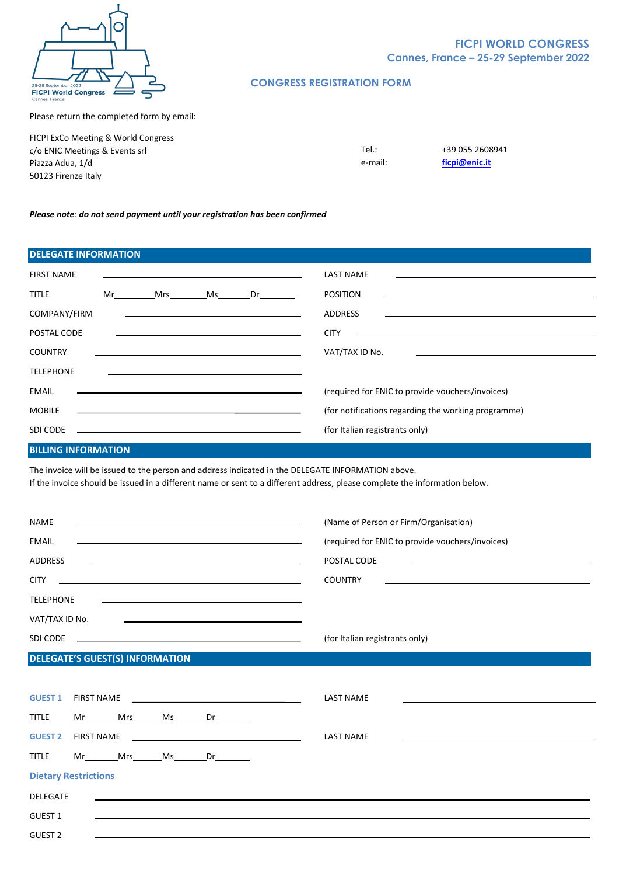

# Please return the completed form by email:

FICPI ExCo Meeting & World Congress c/o ENIC Meetings & Events srl Piazza Adua, 1/d 50123 Firenze Italy

**CONGRESS REGISTRATION FORM**

Tel.: +39 055 2608941 e-mail: **[ficpi@enic.it](mailto:ficpi@enic.it)**

#### *Please note: do not send payment until your registration has been confirmed*

| <b>DELEGATE INFORMATION</b> |    |     |    |                                                                                                                                                                                                                               |                                                                          |
|-----------------------------|----|-----|----|-------------------------------------------------------------------------------------------------------------------------------------------------------------------------------------------------------------------------------|--------------------------------------------------------------------------|
| <b>FIRST NAME</b>           |    |     |    |                                                                                                                                                                                                                               | <b>LAST NAME</b>                                                         |
| <b>TITLE</b>                | Mr | Mrs | Ms | Dr <sub>ab</sub>                                                                                                                                                                                                              | <b>POSITION</b>                                                          |
| COMPANY/FIRM                |    |     |    | <u> 1989 - Andrea Stadt Britain, amerikansk politiker (</u>                                                                                                                                                                   | <b>ADDRESS</b>                                                           |
| POSTAL CODE                 |    |     |    | the control of the control of the control of the control of the control of the control of the control of the control of                                                                                                       | <b>CITY</b><br><u> 1989 - John Stein, Amerikaansk politiker (* 1958)</u> |
| <b>COUNTRY</b>              |    |     |    | <u> 1989 - Johann Stein, marwolaethau a bhann an t-Amhain an t-Amhain an t-Amhain an t-Amhain an t-Amhain an t-A</u>                                                                                                          | VAT/TAX ID No.                                                           |
| <b>TELEPHONE</b>            |    |     |    |                                                                                                                                                                                                                               |                                                                          |
| <b>EMAIL</b>                |    |     |    |                                                                                                                                                                                                                               | (required for ENIC to provide vouchers/invoices)                         |
| <b>MOBILE</b>               |    |     |    |                                                                                                                                                                                                                               | (for notifications regarding the working programme)                      |
| SDI CODE                    |    |     |    | the control of the control of the control of the control of the control of the control of the control of the control of the control of the control of the control of the control of the control of the control of the control | (for Italian registrants only)                                           |

### **BILLING INFORMATION**

The invoice will be issued to the person and address indicated in the DELEGATE INFORMATION above.

If the invoice should be issued in a different name or sent to a different address, please complete the information below.

| <b>NAME</b><br><u> Listen de la contrada de la contrada de la contrada de la contrada de la contrada de la contrada de la contra</u> | (Name of Person or Firm/Organisation)            |
|--------------------------------------------------------------------------------------------------------------------------------------|--------------------------------------------------|
| <b>EMAIL</b><br><u> 1989 - Johann Stoff, amerikansk politiker (d. 1989)</u>                                                          | (required for ENIC to provide vouchers/invoices) |
| <b>ADDRESS</b>                                                                                                                       | POSTAL CODE                                      |
| <b>CITY</b>                                                                                                                          | <b>COUNTRY</b>                                   |
| <b>TELEPHONE</b>                                                                                                                     |                                                  |
| VAT/TAX ID No.                                                                                                                       |                                                  |
| SDI CODE                                                                                                                             | (for Italian registrants only)                   |

### **DELEGATE'S GUEST(S) INFORMATION**

| <b>GUEST 1</b>              | <b>FIRST NAME</b> |  |  | <u> 1989 - Johann Stein, mars and de Britannich (b. 1989)</u>              | <b>LAST NAME</b><br>the contract of the contract of the contract of the contract of the contract of the contract of the contract of |
|-----------------------------|-------------------|--|--|----------------------------------------------------------------------------|-------------------------------------------------------------------------------------------------------------------------------------|
| <b>TITLE</b>                |                   |  |  | Mr _____Mrs_______Ms________Dr_________                                    |                                                                                                                                     |
| <b>GUEST 2</b>              | <b>FIRST NAME</b> |  |  | the control of the control of the control of the control of the control of | <b>LAST NAME</b><br>the contract of the contract of the contract of the contract of the contract of the contract of the contract of |
| <b>TITLE</b>                |                   |  |  | Mr Mrs Ms Dr                                                               |                                                                                                                                     |
| <b>Dietary Restrictions</b> |                   |  |  |                                                                            |                                                                                                                                     |
| <b>DELEGATE</b>             |                   |  |  | <u> 1989 - Andrea Stadt Britain, amerikansk politik (* 1958)</u>           |                                                                                                                                     |
| <b>GUEST 1</b>              |                   |  |  |                                                                            |                                                                                                                                     |
| <b>GUEST 2</b>              |                   |  |  |                                                                            |                                                                                                                                     |

### **FICPI WORLD CONGRESS Cannes, France – 25-29 September 2022**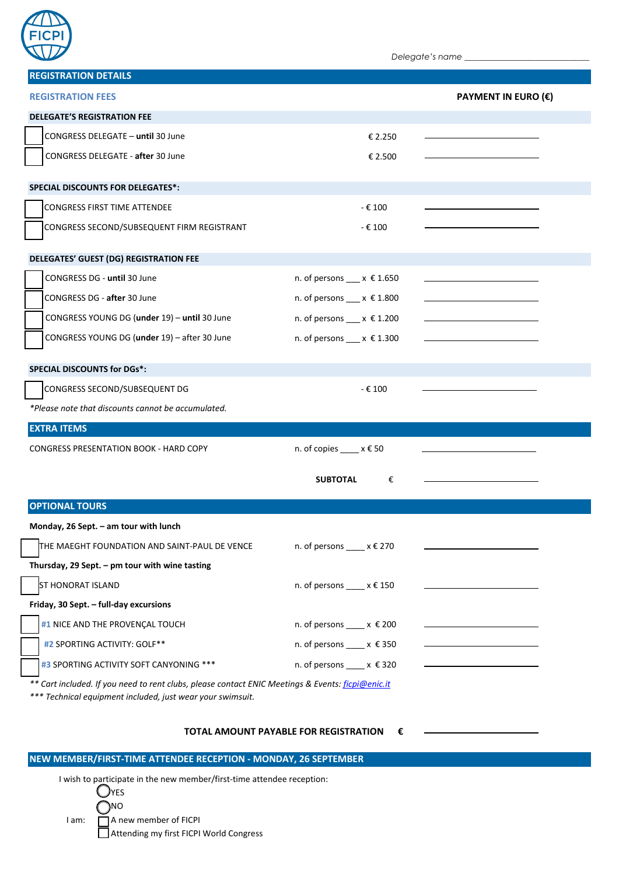

*Delegate's name \_\_\_\_\_\_\_\_\_\_\_\_\_\_\_\_\_\_\_\_\_\_\_\_\_\_\_\_\_\_*

| <b>REGISTRATION DETAILS</b>                                                                                                                                     |                                                      |  |  |  |
|-----------------------------------------------------------------------------------------------------------------------------------------------------------------|------------------------------------------------------|--|--|--|
| <b>REGISTRATION FEES</b><br><b>PAYMENT IN EURO (€)</b>                                                                                                          |                                                      |  |  |  |
| <b>DELEGATE'S REGISTRATION FEE</b>                                                                                                                              |                                                      |  |  |  |
| CONGRESS DELEGATE - until 30 June                                                                                                                               | € 2.250                                              |  |  |  |
| CONGRESS DELEGATE - after 30 June                                                                                                                               | € 2.500                                              |  |  |  |
| <b>SPECIAL DISCOUNTS FOR DELEGATES*:</b>                                                                                                                        |                                                      |  |  |  |
|                                                                                                                                                                 |                                                      |  |  |  |
| <b>CONGRESS FIRST TIME ATTENDEE</b>                                                                                                                             | - € 100                                              |  |  |  |
| CONGRESS SECOND/SUBSEQUENT FIRM REGISTRANT                                                                                                                      | - € 100                                              |  |  |  |
| DELEGATES' GUEST (DG) REGISTRATION FEE                                                                                                                          |                                                      |  |  |  |
| CONGRESS DG - until 30 June                                                                                                                                     | n. of persons $x \in 1.650$                          |  |  |  |
| CONGRESS DG - after 30 June                                                                                                                                     | n. of persons $x \in 1.800$                          |  |  |  |
| CONGRESS YOUNG DG (under 19) - until 30 June                                                                                                                    | n. of persons $x \in 1.200$                          |  |  |  |
| CONGRESS YOUNG DG (under 19) - after 30 June                                                                                                                    | n. of persons $x \in 1.300$                          |  |  |  |
| <b>SPECIAL DISCOUNTS for DGs*:</b>                                                                                                                              |                                                      |  |  |  |
|                                                                                                                                                                 |                                                      |  |  |  |
| CONGRESS SECOND/SUBSEQUENT DG<br>*Please note that discounts cannot be accumulated.                                                                             | - € 100                                              |  |  |  |
| <b>EXTRA ITEMS</b>                                                                                                                                              |                                                      |  |  |  |
| CONGRESS PRESENTATION BOOK - HARD COPY                                                                                                                          |                                                      |  |  |  |
|                                                                                                                                                                 | n. of copies $x \in 50$                              |  |  |  |
|                                                                                                                                                                 | <b>SUBTOTAL</b><br>€                                 |  |  |  |
| <b>OPTIONAL TOURS</b>                                                                                                                                           |                                                      |  |  |  |
| Monday, 26 Sept. - am tour with lunch                                                                                                                           |                                                      |  |  |  |
| THE MAEGHT FOUNDATION AND SAINT-PAUL DE VENCE                                                                                                                   | n. of persons $x \in 270$                            |  |  |  |
| Thursday, 29 Sept. - pm tour with wine tasting                                                                                                                  |                                                      |  |  |  |
| <b>ST HONORAT ISLAND</b>                                                                                                                                        | n. of persons $x \in 150$                            |  |  |  |
| Friday, 30 Sept. - full-day excursions                                                                                                                          |                                                      |  |  |  |
| #1 NICE AND THE PROVENÇAL TOUCH                                                                                                                                 | n. of persons $x \in 200$                            |  |  |  |
| #2 SPORTING ACTIVITY: GOLF**                                                                                                                                    | n. of persons $\underline{\hspace{1cm}}$ x $\xi$ 350 |  |  |  |
| #3 SPORTING ACTIVITY SOFT CANYONING ***                                                                                                                         | n. of persons $x \in 320$                            |  |  |  |
| ** Cart included. If you need to rent clubs, please contact ENIC Meetings & Events: ficpi@enic.it<br>*** Technical equipment included, just wear your swimsuit. |                                                      |  |  |  |
|                                                                                                                                                                 | TOTAL AMOUNT PAYABLE FOR REGISTRATION<br>€           |  |  |  |

## **NEW MEMBER/FIRST-TIME ATTENDEE RECEPTION - MONDAY, 26 SEPTEMBER**

I wish to participate in the new member/first-time attendee reception:

|       | (JYES                                   |
|-------|-----------------------------------------|
|       | $\bigcap$ NO                            |
| I am: | A new member of FICPI                   |
|       | Attending my first FICPI World Congress |